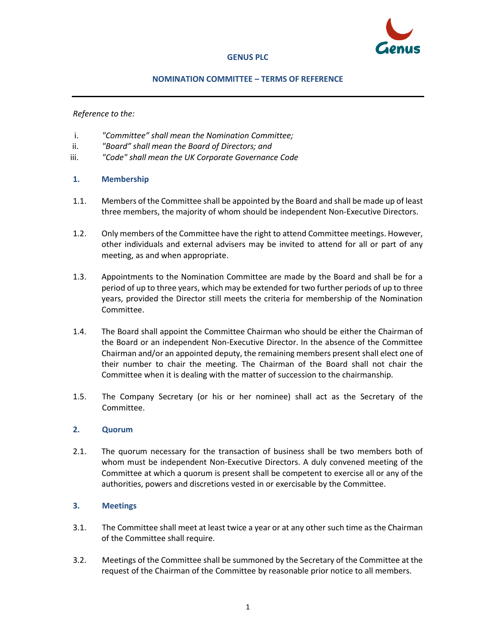

#### **GENUS PLC**

#### **NOMINATION COMMITTEE – TERMS OF REFERENCE**

*Reference to the:*

- i. *"Committee" shall mean the Nomination Committee;*
- ii. *"Board" shall mean the Board of Directors; and*
- iii. *"Code" shall mean the UK Corporate Governance Code*
- **1. Membership**
- 1.1. Members of the Committee shall be appointed by the Board and shall be made up of least three members, the majority of whom should be independent Non-Executive Directors.
- 1.2. Only members of the Committee have the right to attend Committee meetings. However, other individuals and external advisers may be invited to attend for all or part of any meeting, as and when appropriate.
- 1.3. Appointments to the Nomination Committee are made by the Board and shall be for a period of up to three years, which may be extended for two further periods of up to three years, provided the Director still meets the criteria for membership of the Nomination Committee.
- 1.4. The Board shall appoint the Committee Chairman who should be either the Chairman of the Board or an independent Non-Executive Director. In the absence of the Committee Chairman and/or an appointed deputy, the remaining members present shall elect one of their number to chair the meeting. The Chairman of the Board shall not chair the Committee when it is dealing with the matter of succession to the chairmanship.
- 1.5. The Company Secretary (or his or her nominee) shall act as the Secretary of the Committee.

### **2. Quorum**

2.1. The quorum necessary for the transaction of business shall be two members both of whom must be independent Non-Executive Directors. A duly convened meeting of the Committee at which a quorum is present shall be competent to exercise all or any of the authorities, powers and discretions vested in or exercisable by the Committee.

### **3. Meetings**

- 3.1. The Committee shall meet at least twice a year or at any other such time as the Chairman of the Committee shall require.
- 3.2. Meetings of the Committee shall be summoned by the Secretary of the Committee at the request of the Chairman of the Committee by reasonable prior notice to all members.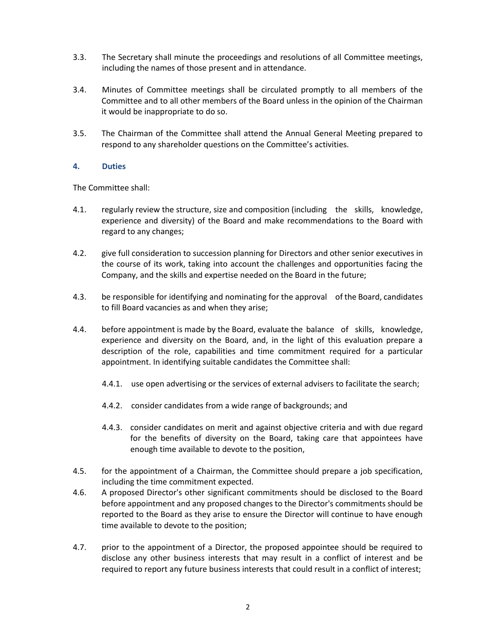- 3.3. The Secretary shall minute the proceedings and resolutions of all Committee meetings, including the names of those present and in attendance.
- 3.4. Minutes of Committee meetings shall be circulated promptly to all members of the Committee and to all other members of the Board unless in the opinion of the Chairman it would be inappropriate to do so.
- 3.5. The Chairman of the Committee shall attend the Annual General Meeting prepared to respond to any shareholder questions on the Committee's activities.

### **4. Duties**

The Committee shall:

- 4.1. regularly review the structure, size and composition (including the skills, knowledge, experience and diversity) of the Board and make recommendations to the Board with regard to any changes;
- 4.2. give full consideration to succession planning for Directors and other senior executives in the course of its work, taking into account the challenges and opportunities facing the Company, and the skills and expertise needed on the Board in the future;
- 4.3. be responsible for identifying and nominating for the approval of the Board, candidates to fill Board vacancies as and when they arise;
- 4.4. before appointment is made by the Board, evaluate the balance of skills, knowledge, experience and diversity on the Board, and, in the light of this evaluation prepare a description of the role, capabilities and time commitment required for a particular appointment. In identifying suitable candidates the Committee shall:
	- 4.4.1. use open advertising or the services of external advisers to facilitate the search;
	- 4.4.2. consider candidates from a wide range of backgrounds; and
	- 4.4.3. consider candidates on merit and against objective criteria and with due regard for the benefits of diversity on the Board, taking care that appointees have enough time available to devote to the position,
- 4.5. for the appointment of a Chairman, the Committee should prepare a job specification, including the time commitment expected.
- 4.6. A proposed Director's other significant commitments should be disclosed to the Board before appointment and any proposed changes to the Director's commitments should be reported to the Board as they arise to ensure the Director will continue to have enough time available to devote to the position;
- 4.7. prior to the appointment of a Director, the proposed appointee should be required to disclose any other business interests that may result in a conflict of interest and be required to report any future business interests that could result in a conflict of interest;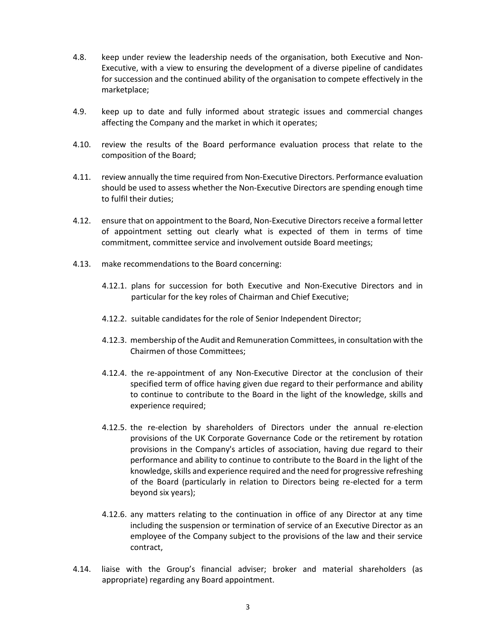- 4.8. keep under review the leadership needs of the organisation, both Executive and Non-Executive, with a view to ensuring the development of a diverse pipeline of candidates for succession and the continued ability of the organisation to compete effectively in the marketplace;
- 4.9. keep up to date and fully informed about strategic issues and commercial changes affecting the Company and the market in which it operates;
- 4.10. review the results of the Board performance evaluation process that relate to the composition of the Board;
- 4.11. review annually the time required from Non-Executive Directors. Performance evaluation should be used to assess whether the Non-Executive Directors are spending enough time to fulfil their duties;
- 4.12. ensure that on appointment to the Board, Non-Executive Directors receive a formal letter of appointment setting out clearly what is expected of them in terms of time commitment, committee service and involvement outside Board meetings;
- 4.13. make recommendations to the Board concerning:
	- 4.12.1. plans for succession for both Executive and Non-Executive Directors and in particular for the key roles of Chairman and Chief Executive;
	- 4.12.2. suitable candidates for the role of Senior Independent Director;
	- 4.12.3. membership of the Audit and Remuneration Committees, in consultation with the Chairmen of those Committees;
	- 4.12.4. the re-appointment of any Non-Executive Director at the conclusion of their specified term of office having given due regard to their performance and ability to continue to contribute to the Board in the light of the knowledge, skills and experience required;
	- 4.12.5. the re-election by shareholders of Directors under the annual re-election provisions of the UK Corporate Governance Code or the retirement by rotation provisions in the Company's articles of association, having due regard to their performance and ability to continue to contribute to the Board in the light of the knowledge, skills and experience required and the need for progressive refreshing of the Board (particularly in relation to Directors being re-elected for a term beyond six years);
	- 4.12.6. any matters relating to the continuation in office of any Director at any time including the suspension or termination of service of an Executive Director as an employee of the Company subject to the provisions of the law and their service contract,
- 4.14. liaise with the Group's financial adviser; broker and material shareholders (as appropriate) regarding any Board appointment.